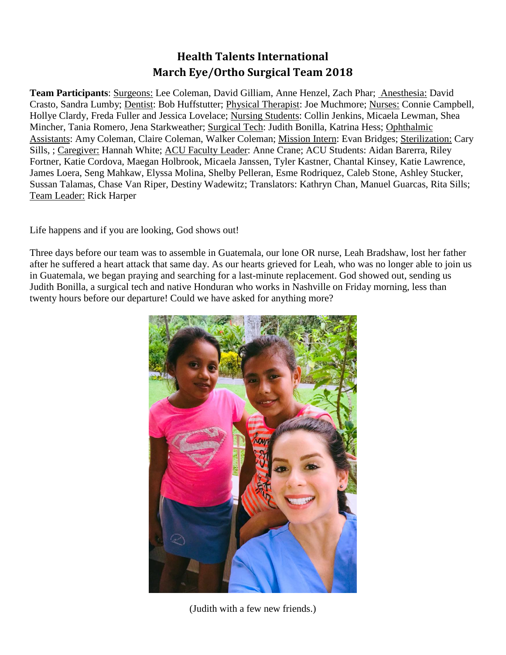## **Health Talents International March Eye/Ortho Surgical Team 2018**

**Team Participants**: Surgeons: Lee Coleman, David Gilliam, Anne Henzel, Zach Phar; Anesthesia: David Crasto, Sandra Lumby; Dentist: Bob Huffstutter; Physical Therapist: Joe Muchmore; Nurses: Connie Campbell, Hollye Clardy, Freda Fuller and Jessica Lovelace; Nursing Students: Collin Jenkins, Micaela Lewman, Shea Mincher, Tania Romero, Jena Starkweather; Surgical Tech: Judith Bonilla, Katrina Hess; Ophthalmic Assistants: Amy Coleman, Claire Coleman, Walker Coleman; Mission Intern: Evan Bridges; Sterilization: Cary Sills, ; Caregiver: Hannah White; ACU Faculty Leader: Anne Crane; ACU Students: Aidan Barerra, Riley Fortner, Katie Cordova, Maegan Holbrook, Micaela Janssen, Tyler Kastner, Chantal Kinsey, Katie Lawrence, James Loera, Seng Mahkaw, Elyssa Molina, Shelby Pelleran, Esme Rodriquez, Caleb Stone, Ashley Stucker, Sussan Talamas, Chase Van Riper, Destiny Wadewitz; Translators: Kathryn Chan, Manuel Guarcas, Rita Sills; Team Leader: Rick Harper

Life happens and if you are looking, God shows out!

Three days before our team was to assemble in Guatemala, our lone OR nurse, Leah Bradshaw, lost her father after he suffered a heart attack that same day. As our hearts grieved for Leah, who was no longer able to join us in Guatemala, we began praying and searching for a last-minute replacement. God showed out, sending us Judith Bonilla, a surgical tech and native Honduran who works in Nashville on Friday morning, less than twenty hours before our departure! Could we have asked for anything more?



(Judith with a few new friends.)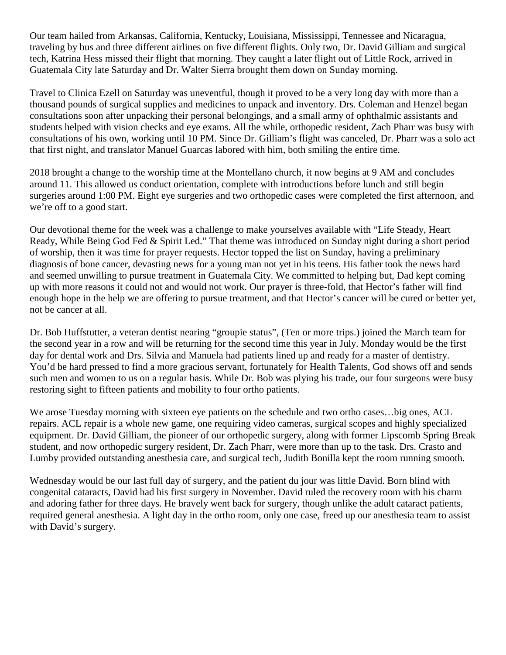Our team hailed from Arkansas, California, Kentucky, Louisiana, Mississippi, Tennessee and Nicaragua, traveling by bus and three different airlines on five different flights. Only two, Dr. David Gilliam and surgical tech, Katrina Hess missed their flight that morning. They caught a later flight out of Little Rock, arrived in Guatemala City late Saturday and Dr. Walter Sierra brought them down on Sunday morning.

Travel to Clinica Ezell on Saturday was uneventful, though it proved to be a very long day with more than a thousand pounds of surgical supplies and medicines to unpack and inventory. Drs. Coleman and Henzel began consultations soon after unpacking their personal belongings, and a small army of ophthalmic assistants and students helped with vision checks and eye exams. All the while, orthopedic resident, Zach Pharr was busy with consultations of his own, working until 10 PM. Since Dr. Gilliam's flight was canceled, Dr. Pharr was a solo act that first night, and translator Manuel Guarcas labored with him, both smiling the entire time.

2018 brought a change to the worship time at the Montellano church, it now begins at 9 AM and concludes around 11. This allowed us conduct orientation, complete with introductions before lunch and still begin surgeries around 1:00 PM. Eight eye surgeries and two orthopedic cases were completed the first afternoon, and we're off to a good start.

Our devotional theme for the week was a challenge to make yourselves available with "Life Steady, Heart Ready, While Being God Fed & Spirit Led." That theme was introduced on Sunday night during a short period of worship, then it was time for prayer requests. Hector topped the list on Sunday, having a preliminary diagnosis of bone cancer, devasting news for a young man not yet in his teens. His father took the news hard and seemed unwilling to pursue treatment in Guatemala City. We committed to helping but, Dad kept coming up with more reasons it could not and would not work. Our prayer is three-fold, that Hector's father will find enough hope in the help we are offering to pursue treatment, and that Hector's cancer will be cured or better yet, not be cancer at all.

Dr. Bob Huffstutter, a veteran dentist nearing "groupie status", (Ten or more trips.) joined the March team for the second year in a row and will be returning for the second time this year in July. Monday would be the first day for dental work and Drs. Silvia and Manuela had patients lined up and ready for a master of dentistry. You'd be hard pressed to find a more gracious servant, fortunately for Health Talents, God shows off and sends such men and women to us on a regular basis. While Dr. Bob was plying his trade, our four surgeons were busy restoring sight to fifteen patients and mobility to four ortho patients.

We arose Tuesday morning with sixteen eye patients on the schedule and two ortho cases...big ones, ACL repairs. ACL repair is a whole new game, one requiring video cameras, surgical scopes and highly specialized equipment. Dr. David Gilliam, the pioneer of our orthopedic surgery, along with former Lipscomb Spring Break student, and now orthopedic surgery resident, Dr. Zach Pharr, were more than up to the task. Drs. Crasto and Lumby provided outstanding anesthesia care, and surgical tech, Judith Bonilla kept the room running smooth.

Wednesday would be our last full day of surgery, and the patient du jour was little David. Born blind with congenital cataracts, David had his first surgery in November. David ruled the recovery room with his charm and adoring father for three days. He bravely went back for surgery, though unlike the adult cataract patients, required general anesthesia. A light day in the ortho room, only one case, freed up our anesthesia team to assist with David's surgery.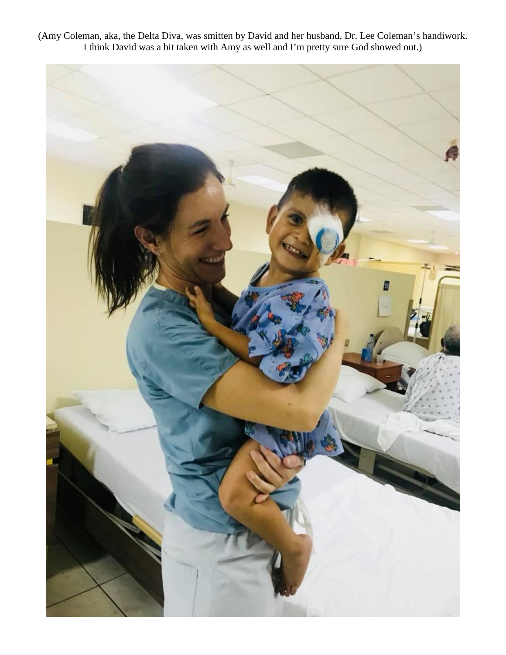(Amy Coleman, aka, the Delta Diva, was smitten by David and her husband, Dr. Lee Coleman's handiwork. I think David was a bit taken with Amy as well and I'm pretty sure God showed out.)